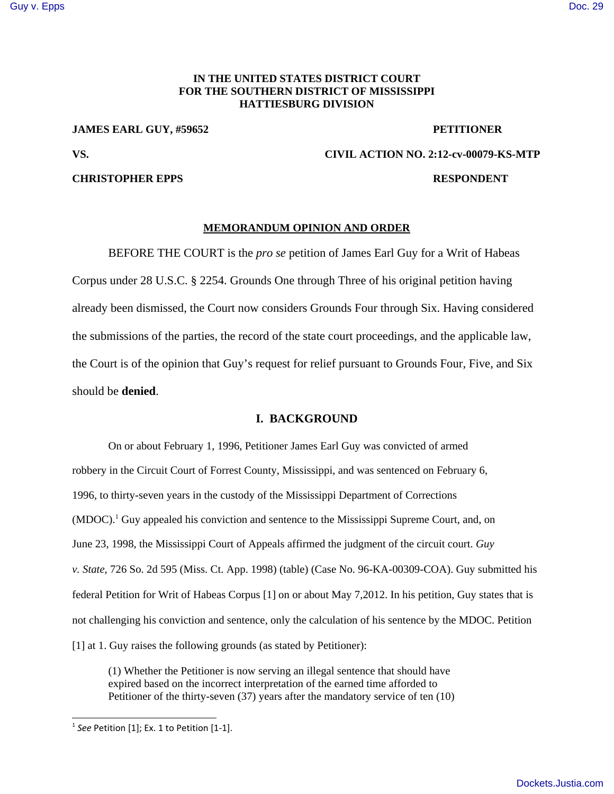# [Guy v. Epps](http://dockets.justia.com/docket/mississippi/mssdce/2:2012cv00079/78657/) [Doc. 29](http://docs.justia.com/cases/federal/district-courts/mississippi/mssdce/2:2012cv00079/78657/29/)

## **IN THE UNITED STATES DISTRICT COURT FOR THE SOUTHERN DISTRICT OF MISSISSIPPI HATTIESBURG DIVISION**

**JAMES EARL GUY, #59652 PETITIONER**

## **CHRISTOPHER EPPS RESPONDENT**

# **VS. CIVIL ACTION NO. 2:12-cv-00079-KS-MTP**

## **MEMORANDUM OPINION AND ORDER**

BEFORE THE COURT is the *pro se* petition of James Earl Guy for a Writ of Habeas Corpus under 28 U.S.C. § 2254. Grounds One through Three of his original petition having already been dismissed, the Court now considers Grounds Four through Six. Having considered the submissions of the parties, the record of the state court proceedings, and the applicable law, the Court is of the opinion that Guy's request for relief pursuant to Grounds Four, Five, and Six should be **denied**.

## **I. BACKGROUND**

On or about February 1, 1996, Petitioner James Earl Guy was convicted of armed robbery in the Circuit Court of Forrest County, Mississippi, and was sentenced on February 6, 1996, to thirty-seven years in the custody of the Mississippi Department of Corrections (MDOC).<sup>1</sup> Guy appealed his conviction and sentence to the Mississippi Supreme Court, and, on June 23, 1998, the Mississippi Court of Appeals affirmed the judgment of the circuit court. *Guy v. State*, 726 So. 2d 595 (Miss. Ct. App. 1998) (table) (Case No. 96-KA-00309-COA). Guy submitted his federal Petition for Writ of Habeas Corpus [1] on or about May 7,2012. In his petition, Guy states that is not challenging his conviction and sentence, only the calculation of his sentence by the MDOC. Petition [1] at 1. Guy raises the following grounds (as stated by Petitioner):

(1) Whether the Petitioner is now serving an illegal sentence that should have expired based on the incorrect interpretation of the earned time afforded to Petitioner of the thirty-seven (37) years after the mandatory service of ten (10)

<sup>1</sup> *See* Petition [1]; Ex. 1 to Petition [1‐1].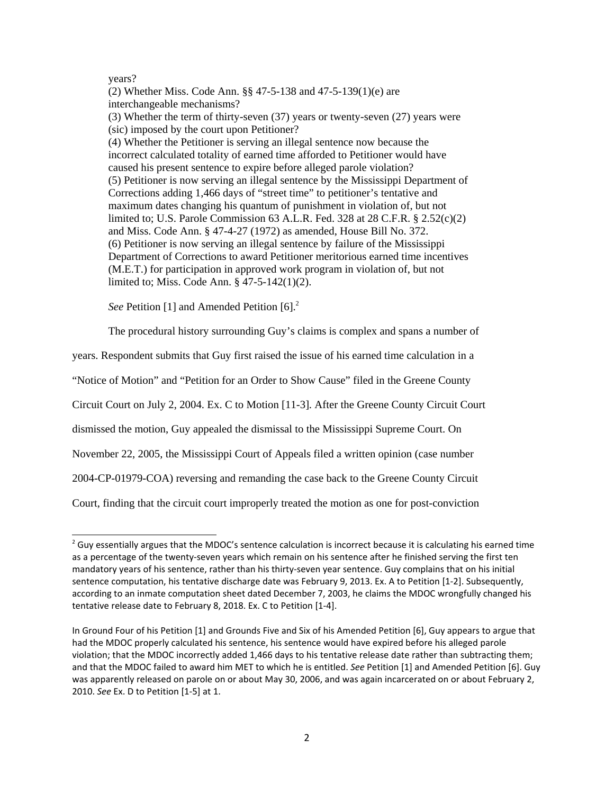### years?

(2) Whether Miss. Code Ann. §§ 47-5-138 and 47-5-139(1)(e) are interchangeable mechanisms? (3) Whether the term of thirty-seven (37) years or twenty-seven (27) years were (sic) imposed by the court upon Petitioner? (4) Whether the Petitioner is serving an illegal sentence now because the incorrect calculated totality of earned time afforded to Petitioner would have caused his present sentence to expire before alleged parole violation? (5) Petitioner is now serving an illegal sentence by the Mississippi Department of Corrections adding 1,466 days of "street time" to petitioner's tentative and maximum dates changing his quantum of punishment in violation of, but not limited to; U.S. Parole Commission 63 A.L.R. Fed. 328 at 28 C.F.R. § 2.52(c)(2) and Miss. Code Ann. § 47-4-27 (1972) as amended, House Bill No. 372. (6) Petitioner is now serving an illegal sentence by failure of the Mississippi Department of Corrections to award Petitioner meritorious earned time incentives (M.E.T.) for participation in approved work program in violation of, but not limited to; Miss. Code Ann. § 47-5-142(1)(2).

*See* Petition [1] and Amended Petition [6].<sup>2</sup>

The procedural history surrounding Guy's claims is complex and spans a number of

years. Respondent submits that Guy first raised the issue of his earned time calculation in a

"Notice of Motion" and "Petition for an Order to Show Cause" filed in the Greene County

Circuit Court on July 2, 2004. Ex. C to Motion [11-3]. After the Greene County Circuit Court

dismissed the motion, Guy appealed the dismissal to the Mississippi Supreme Court. On

November 22, 2005, the Mississippi Court of Appeals filed a written opinion (case number

2004-CP-01979-COA) reversing and remanding the case back to the Greene County Circuit

Court, finding that the circuit court improperly treated the motion as one for post-conviction

 $2$  Guy essentially argues that the MDOC's sentence calculation is incorrect because it is calculating his earned time as a percentage of the twenty‐seven years which remain on his sentence after he finished serving the first ten mandatory years of his sentence, rather than his thirty‐seven year sentence. Guy complains that on his initial sentence computation, his tentative discharge date was February 9, 2013. Ex. A to Petition [1‐2]. Subsequently, according to an inmate computation sheet dated December 7, 2003, he claims the MDOC wrongfully changed his tentative release date to February 8, 2018. Ex. C to Petition [1‐4].

In Ground Four of his Petition [1] and Grounds Five and Six of his Amended Petition [6], Guy appears to argue that had the MDOC properly calculated his sentence, his sentence would have expired before his alleged parole violation; that the MDOC incorrectly added 1,466 days to his tentative release date rather than subtracting them; and that the MDOC failed to award him MET to which he is entitled. *See* Petition [1] and Amended Petition [6]. Guy was apparently released on parole on or about May 30, 2006, and was again incarcerated on or about February 2, 2010. *See* Ex. D to Petition [1‐5] at 1.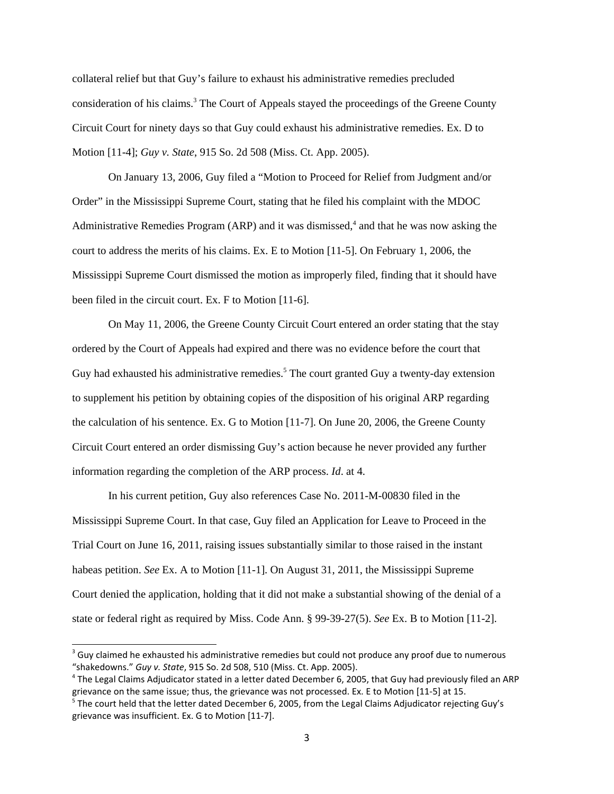collateral relief but that Guy's failure to exhaust his administrative remedies precluded consideration of his claims.<sup>3</sup> The Court of Appeals stayed the proceedings of the Greene County Circuit Court for ninety days so that Guy could exhaust his administrative remedies. Ex. D to Motion [11-4]; *Guy v. State*, 915 So. 2d 508 (Miss. Ct. App. 2005).

On January 13, 2006, Guy filed a "Motion to Proceed for Relief from Judgment and/or Order" in the Mississippi Supreme Court, stating that he filed his complaint with the MDOC Administrative Remedies Program (ARP) and it was dismissed, $4$  and that he was now asking the court to address the merits of his claims. Ex. E to Motion [11-5]. On February 1, 2006, the Mississippi Supreme Court dismissed the motion as improperly filed, finding that it should have been filed in the circuit court. Ex. F to Motion [11-6].

On May 11, 2006, the Greene County Circuit Court entered an order stating that the stay ordered by the Court of Appeals had expired and there was no evidence before the court that Guy had exhausted his administrative remedies.<sup>5</sup> The court granted Guy a twenty-day extension to supplement his petition by obtaining copies of the disposition of his original ARP regarding the calculation of his sentence. Ex. G to Motion [11-7]. On June 20, 2006, the Greene County Circuit Court entered an order dismissing Guy's action because he never provided any further information regarding the completion of the ARP process. *Id*. at 4.

In his current petition, Guy also references Case No. 2011-M-00830 filed in the Mississippi Supreme Court. In that case, Guy filed an Application for Leave to Proceed in the Trial Court on June 16, 2011, raising issues substantially similar to those raised in the instant habeas petition. *See* Ex. A to Motion [11-1]. On August 31, 2011, the Mississippi Supreme Court denied the application, holding that it did not make a substantial showing of the denial of a state or federal right as required by Miss. Code Ann. § 99-39-27(5). *See* Ex. B to Motion [11-2].

 $3$  Guy claimed he exhausted his administrative remedies but could not produce any proof due to numerous "shakedowns." *Guy v. State*, 915 So. 2d 508, 510 (Miss. Ct. App. 2005).

<sup>&</sup>lt;sup>4</sup> The Legal Claims Adjudicator stated in a letter dated December 6, 2005, that Guy had previously filed an ARP grievance on the same issue; thus, the grievance was not processed. Ex. E to Motion [11‐5] at 15.

<sup>&</sup>lt;sup>5</sup> The court held that the letter dated December 6, 2005, from the Legal Claims Adjudicator rejecting Guy's grievance was insufficient. Ex. G to Motion [11‐7].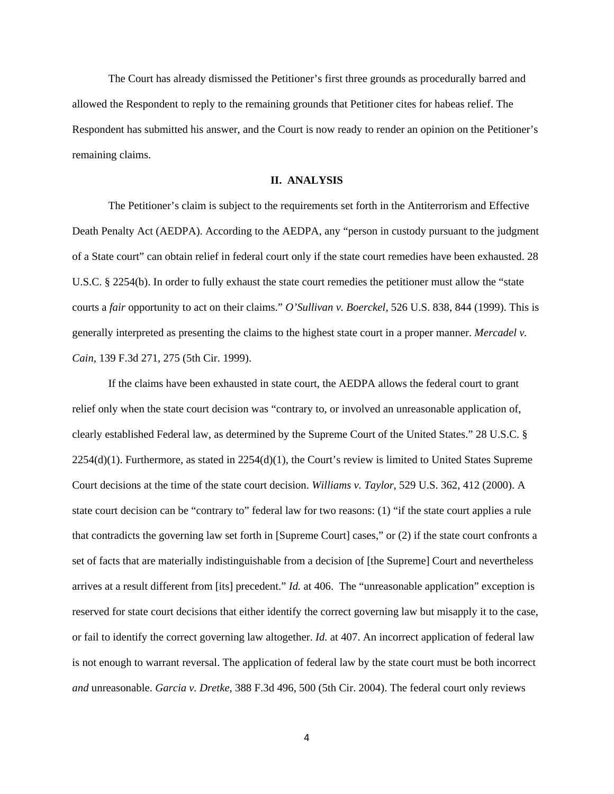The Court has already dismissed the Petitioner's first three grounds as procedurally barred and allowed the Respondent to reply to the remaining grounds that Petitioner cites for habeas relief. The Respondent has submitted his answer, and the Court is now ready to render an opinion on the Petitioner's remaining claims.

#### **II. ANALYSIS**

The Petitioner's claim is subject to the requirements set forth in the Antiterrorism and Effective Death Penalty Act (AEDPA). According to the AEDPA, any "person in custody pursuant to the judgment of a State court" can obtain relief in federal court only if the state court remedies have been exhausted. 28 U.S.C. § 2254(b). In order to fully exhaust the state court remedies the petitioner must allow the "state courts a *fair* opportunity to act on their claims." *O'Sullivan v. Boerckel,* 526 U.S. 838, 844 (1999). This is generally interpreted as presenting the claims to the highest state court in a proper manner. *Mercadel v. Cain,* 139 F.3d 271, 275 (5th Cir. 1999).

If the claims have been exhausted in state court, the AEDPA allows the federal court to grant relief only when the state court decision was "contrary to, or involved an unreasonable application of, clearly established Federal law, as determined by the Supreme Court of the United States." 28 U.S.C. §  $2254(d)(1)$ . Furthermore, as stated in  $2254(d)(1)$ , the Court's review is limited to United States Supreme Court decisions at the time of the state court decision. *Williams v. Taylor*, 529 U.S. 362, 412 (2000). A state court decision can be "contrary to" federal law for two reasons: (1) "if the state court applies a rule that contradicts the governing law set forth in [Supreme Court] cases," or (2) if the state court confronts a set of facts that are materially indistinguishable from a decision of [the Supreme] Court and nevertheless arrives at a result different from [its] precedent." *Id.* at 406. The "unreasonable application" exception is reserved for state court decisions that either identify the correct governing law but misapply it to the case, or fail to identify the correct governing law altogether. *Id.* at 407. An incorrect application of federal law is not enough to warrant reversal. The application of federal law by the state court must be both incorrect *and* unreasonable. *Garcia v. Dretke,* 388 F.3d 496, 500 (5th Cir. 2004). The federal court only reviews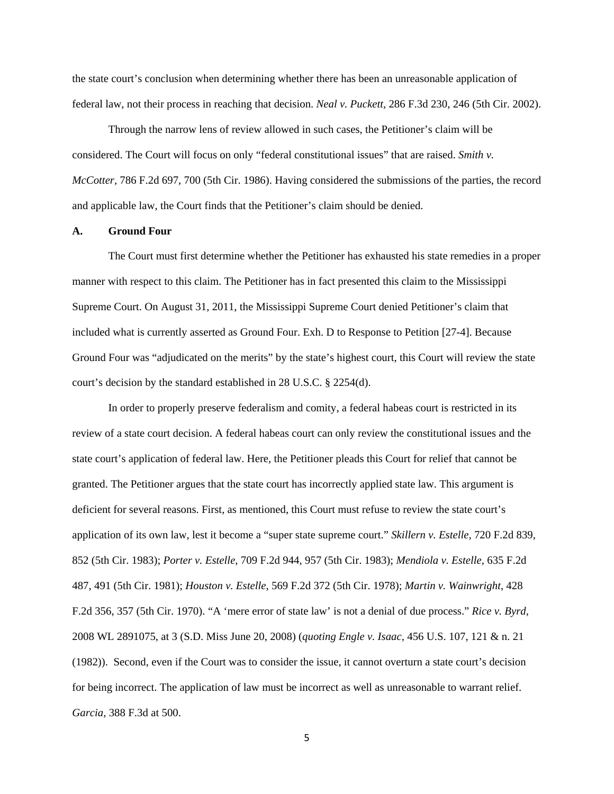the state court's conclusion when determining whether there has been an unreasonable application of federal law, not their process in reaching that decision. *Neal v. Puckett,* 286 F.3d 230, 246 (5th Cir. 2002).

Through the narrow lens of review allowed in such cases, the Petitioner's claim will be considered. The Court will focus on only "federal constitutional issues" that are raised. *Smith v. McCotter,* 786 F.2d 697, 700 (5th Cir. 1986). Having considered the submissions of the parties, the record and applicable law, the Court finds that the Petitioner's claim should be denied.

## **A. Ground Four**

The Court must first determine whether the Petitioner has exhausted his state remedies in a proper manner with respect to this claim. The Petitioner has in fact presented this claim to the Mississippi Supreme Court. On August 31, 2011, the Mississippi Supreme Court denied Petitioner's claim that included what is currently asserted as Ground Four. Exh. D to Response to Petition [27-4]. Because Ground Four was "adjudicated on the merits" by the state's highest court, this Court will review the state court's decision by the standard established in 28 U.S.C. § 2254(d).

In order to properly preserve federalism and comity, a federal habeas court is restricted in its review of a state court decision. A federal habeas court can only review the constitutional issues and the state court's application of federal law. Here, the Petitioner pleads this Court for relief that cannot be granted. The Petitioner argues that the state court has incorrectly applied state law. This argument is deficient for several reasons. First, as mentioned, this Court must refuse to review the state court's application of its own law, lest it become a "super state supreme court." *Skillern v. Estelle,* 720 F.2d 839, 852 (5th Cir. 1983); *Porter v. Estelle,* 709 F.2d 944, 957 (5th Cir. 1983); *Mendiola v. Estelle,* 635 F.2d 487, 491 (5th Cir. 1981); *Houston v. Estelle*, 569 F.2d 372 (5th Cir. 1978); *Martin v. Wainwright*, 428 F.2d 356, 357 (5th Cir. 1970). "A 'mere error of state law' is not a denial of due process." *Rice v. Byrd,* 2008 WL 2891075, at 3 (S.D. Miss June 20, 2008) (*quoting Engle v. Isaac,* 456 U.S. 107, 121 & n. 21 (1982)). Second, even if the Court was to consider the issue, it cannot overturn a state court's decision for being incorrect. The application of law must be incorrect as well as unreasonable to warrant relief. *Garcia,* 388 F.3d at 500.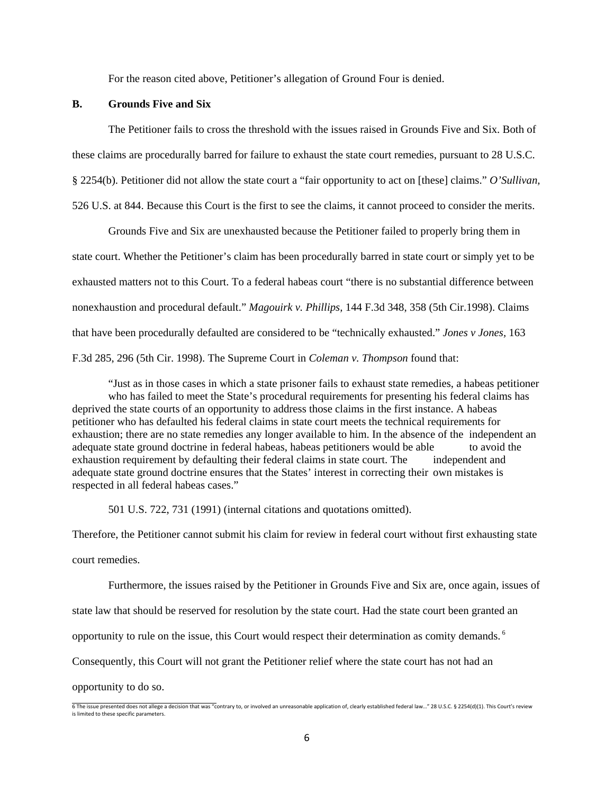For the reason cited above, Petitioner's allegation of Ground Four is denied.

## **B. Grounds Five and Six**

The Petitioner fails to cross the threshold with the issues raised in Grounds Five and Six. Both of these claims are procedurally barred for failure to exhaust the state court remedies, pursuant to 28 U.S.C. § 2254(b). Petitioner did not allow the state court a "fair opportunity to act on [these] claims." *O'Sullivan,* 526 U.S. at 844. Because this Court is the first to see the claims, it cannot proceed to consider the merits.

Grounds Five and Six are unexhausted because the Petitioner failed to properly bring them in state court. Whether the Petitioner's claim has been procedurally barred in state court or simply yet to be exhausted matters not to this Court. To a federal habeas court "there is no substantial difference between nonexhaustion and procedural default." *Magouirk v. Phillips,* 144 F.3d 348, 358 (5th Cir.1998). Claims that have been procedurally defaulted are considered to be "technically exhausted." *Jones v Jones,* 163 F.3d 285, 296 (5th Cir. 1998). The Supreme Court in *Coleman v. Thompson* found that:

"Just as in those cases in which a state prisoner fails to exhaust state remedies, a habeas petitioner who has failed to meet the State's procedural requirements for presenting his federal claims has deprived the state courts of an opportunity to address those claims in the first instance. A habeas petitioner who has defaulted his federal claims in state court meets the technical requirements for exhaustion; there are no state remedies any longer available to him. In the absence of the independent an adequate state ground doctrine in federal habeas, habeas petitioners would be able to avoid the exhaustion requirement by defaulting their federal claims in state court. The independent and adequate state ground doctrine ensures that the States' interest in correcting their own mistakes is respected in all federal habeas cases."

501 U.S. 722, 731 (1991) (internal citations and quotations omitted).

Therefore, the Petitioner cannot submit his claim for review in federal court without first exhausting state court remedies.

Furthermore, the issues raised by the Petitioner in Grounds Five and Six are, once again, issues of state law that should be reserved for resolution by the state court. Had the state court been granted an opportunity to rule on the issue, this Court would respect their determination as comity demands.<sup>6</sup> Consequently, this Court will not grant the Petitioner relief where the state court has not had an

opportunity to do so.

<sup>6</sup> The issue presented does not allege a decision that was "contrary to, or involved an unreasonable application of, clearly established federal law…" 28 U.S.C. § 2254(d)(1). This Court's review is limited to these specific parameters.